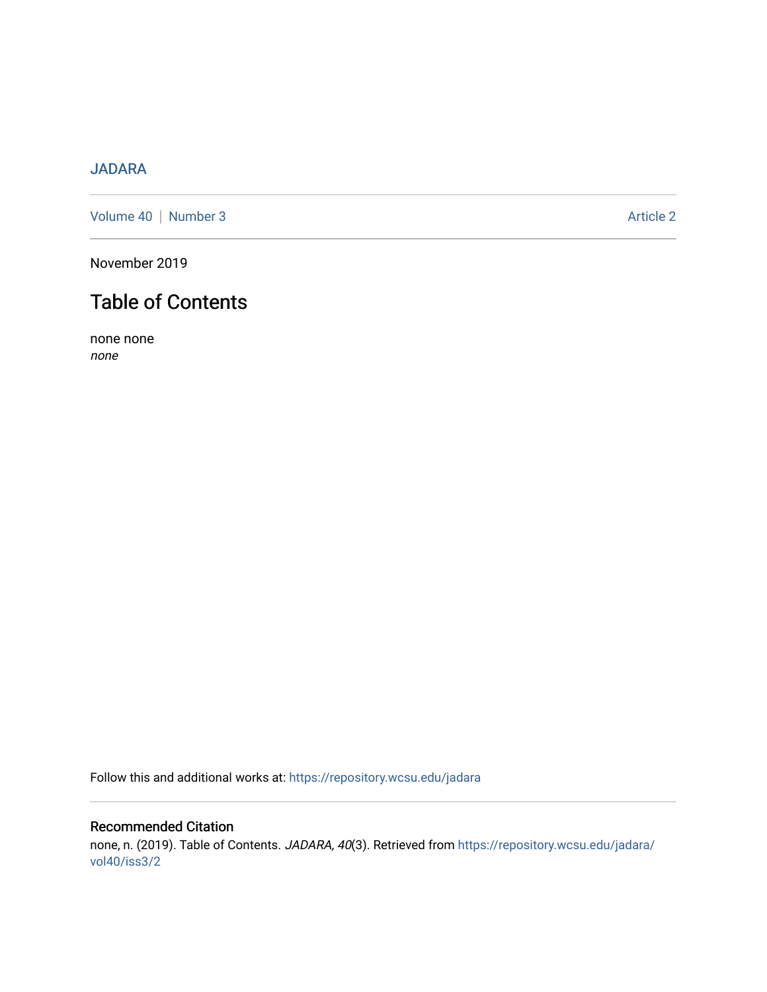## [JADARA](https://repository.wcsu.edu/jadara)

[Volume 40](https://repository.wcsu.edu/jadara/vol40) | [Number 3](https://repository.wcsu.edu/jadara/vol40/iss3) Article 2

November 2019

## Table of Contents

none none none

Follow this and additional works at: [https://repository.wcsu.edu/jadara](https://repository.wcsu.edu/jadara?utm_source=repository.wcsu.edu%2Fjadara%2Fvol40%2Fiss3%2F2&utm_medium=PDF&utm_campaign=PDFCoverPages)

## Recommended Citation none, n. (2019). Table of Contents. JADARA, 40(3). Retrieved from [https://repository.wcsu.edu/jadara/](https://repository.wcsu.edu/jadara/vol40/iss3/2?utm_source=repository.wcsu.edu%2Fjadara%2Fvol40%2Fiss3%2F2&utm_medium=PDF&utm_campaign=PDFCoverPages) [vol40/iss3/2](https://repository.wcsu.edu/jadara/vol40/iss3/2?utm_source=repository.wcsu.edu%2Fjadara%2Fvol40%2Fiss3%2F2&utm_medium=PDF&utm_campaign=PDFCoverPages)